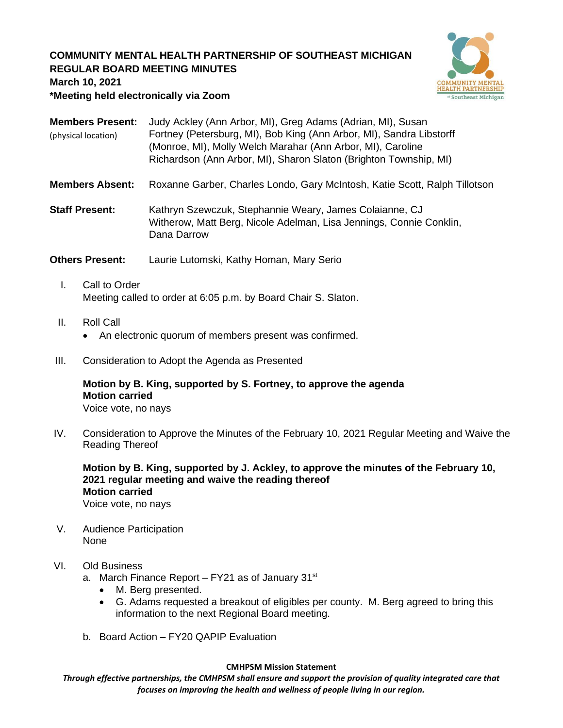## **COMMUNITY MENTAL HEALTH PARTNERSHIP OF SOUTHEAST MICHIGAN REGULAR BOARD MEETING MINUTES**



**March 10, 2021**

**\*Meeting held electronically via Zoom**

|                     | <b>Members Present:</b> Judy Ackley (Ann Arbor, MI), Greg Adams (Adrian, MI), Susan |
|---------------------|-------------------------------------------------------------------------------------|
| (physical location) | Fortney (Petersburg, MI), Bob King (Ann Arbor, MI), Sandra Libstorff                |
|                     | (Monroe, MI), Molly Welch Marahar (Ann Arbor, MI), Caroline                         |
|                     | Richardson (Ann Arbor, MI), Sharon Slaton (Brighton Township, MI)                   |

- **Members Absent:** Roxanne Garber, Charles Londo, Gary McIntosh, Katie Scott, Ralph Tillotson
- **Staff Present:** Kathryn Szewczuk, Stephannie Weary, James Colaianne, CJ Witherow, Matt Berg, Nicole Adelman, Lisa Jennings, Connie Conklin, Dana Darrow

**Others Present:** Laurie Lutomski, Kathy Homan, Mary Serio

- I. Call to Order Meeting called to order at 6:05 p.m. by Board Chair S. Slaton.
- II. Roll Call
	- An electronic quorum of members present was confirmed.
- III. Consideration to Adopt the Agenda as Presented

# **Motion by B. King, supported by S. Fortney, to approve the agenda Motion carried**

Voice vote, no nays

IV. Consideration to Approve the Minutes of the February 10, 2021 Regular Meeting and Waive the Reading Thereof

**Motion by B. King, supported by J. Ackley, to approve the minutes of the February 10, 2021 regular meeting and waive the reading thereof Motion carried**

Voice vote, no nays

V. Audience Participation None

#### VI. Old Business

a. March Finance Report  $-$  FY21 as of January 31 $st$ 

- M. Berg presented.
- G. Adams requested a breakout of eligibles per county. M. Berg agreed to bring this information to the next Regional Board meeting.
- b. Board Action FY20 QAPIP Evaluation

#### **CMHPSM Mission Statement**

*Through effective partnerships, the CMHPSM shall ensure and support the provision of quality integrated care that focuses on improving the health and wellness of people living in our region.*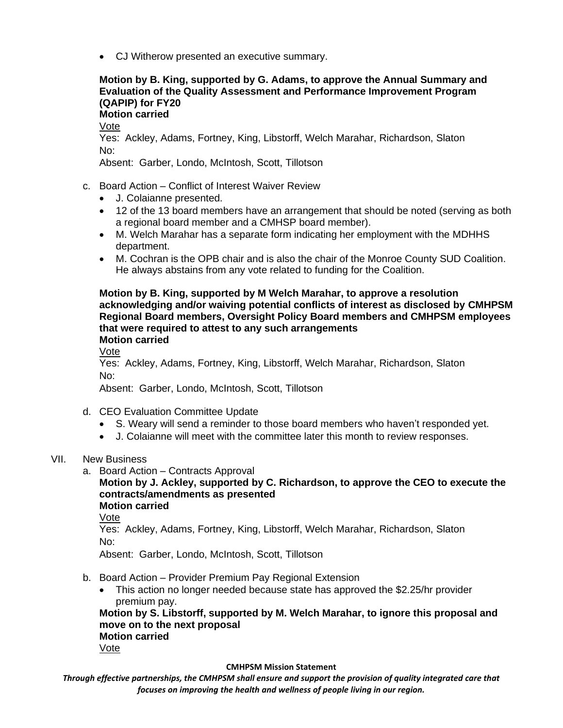• CJ Witherow presented an executive summary.

## **Motion by B. King, supported by G. Adams, to approve the Annual Summary and Evaluation of the Quality Assessment and Performance Improvement Program (QAPIP) for FY20**

**Motion carried**

Vote

Yes: Ackley, Adams, Fortney, King, Libstorff, Welch Marahar, Richardson, Slaton No:

Absent: Garber, Londo, McIntosh, Scott, Tillotson

- c. Board Action Conflict of Interest Waiver Review
	- J. Colaianne presented.
	- 12 of the 13 board members have an arrangement that should be noted (serving as both a regional board member and a CMHSP board member).
	- M. Welch Marahar has a separate form indicating her employment with the MDHHS department.
	- M. Cochran is the OPB chair and is also the chair of the Monroe County SUD Coalition. He always abstains from any vote related to funding for the Coalition.

**Motion by B. King, supported by M Welch Marahar, to approve a resolution acknowledging and/or waiving potential conflicts of interest as disclosed by CMHPSM Regional Board members, Oversight Policy Board members and CMHPSM employees that were required to attest to any such arrangements Motion carried**

Vote

Yes: Ackley, Adams, Fortney, King, Libstorff, Welch Marahar, Richardson, Slaton No:

Absent: Garber, Londo, McIntosh, Scott, Tillotson

- d. CEO Evaluation Committee Update
	- S. Weary will send a reminder to those board members who haven't responded yet.
	- J. Colaianne will meet with the committee later this month to review responses.
- VII. New Business
	- a. Board Action Contracts Approval

# **Motion by J. Ackley, supported by C. Richardson, to approve the CEO to execute the contracts/amendments as presented**

**Motion carried**

Vote

Yes: Ackley, Adams, Fortney, King, Libstorff, Welch Marahar, Richardson, Slaton No:

Absent: Garber, Londo, McIntosh, Scott, Tillotson

- b. Board Action Provider Premium Pay Regional Extension
	- This action no longer needed because state has approved the \$2.25/hr provider premium pay.

**Motion by S. Libstorff, supported by M. Welch Marahar, to ignore this proposal and move on to the next proposal Motion carried** Vote

#### **CMHPSM Mission Statement**

*Through effective partnerships, the CMHPSM shall ensure and support the provision of quality integrated care that focuses on improving the health and wellness of people living in our region.*